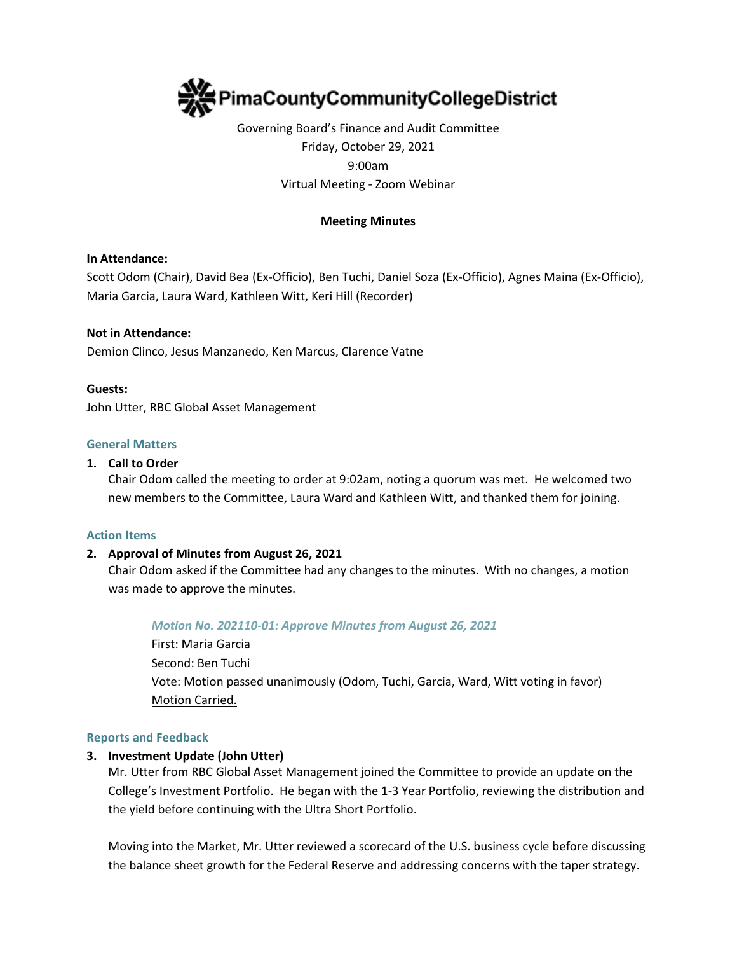

# Governing Board's Finance and Audit Committee Friday, October 29, 2021 9:00am Virtual Meeting - Zoom Webinar

## **Meeting Minutes**

## **In Attendance:**

Scott Odom (Chair), David Bea (Ex-Officio), Ben Tuchi, Daniel Soza (Ex-Officio), Agnes Maina (Ex-Officio), Maria Garcia, Laura Ward, Kathleen Witt, Keri Hill (Recorder)

### **Not in Attendance:**

Demion Clinco, Jesus Manzanedo, Ken Marcus, Clarence Vatne

### **Guests:**

John Utter, RBC Global Asset Management

## **General Matters**

### **1. Call to Order**

Chair Odom called the meeting to order at 9:02am, noting a quorum was met. He welcomed two new members to the Committee, Laura Ward and Kathleen Witt, and thanked them for joining.

#### **Action Items**

## **2. Approval of Minutes from August 26, 2021**

Chair Odom asked if the Committee had any changes to the minutes. With no changes, a motion was made to approve the minutes.

#### *Motion No. 202110-01: Approve Minutes from August 26, 2021*

First: Maria Garcia Second: Ben Tuchi Vote: Motion passed unanimously (Odom, Tuchi, Garcia, Ward, Witt voting in favor) Motion Carried.

#### **Reports and Feedback**

## **3. Investment Update (John Utter)**

Mr. Utter from RBC Global Asset Management joined the Committee to provide an update on the College's Investment Portfolio. He began with the 1-3 Year Portfolio, reviewing the distribution and the yield before continuing with the Ultra Short Portfolio.

Moving into the Market, Mr. Utter reviewed a scorecard of the U.S. business cycle before discussing the balance sheet growth for the Federal Reserve and addressing concerns with the taper strategy.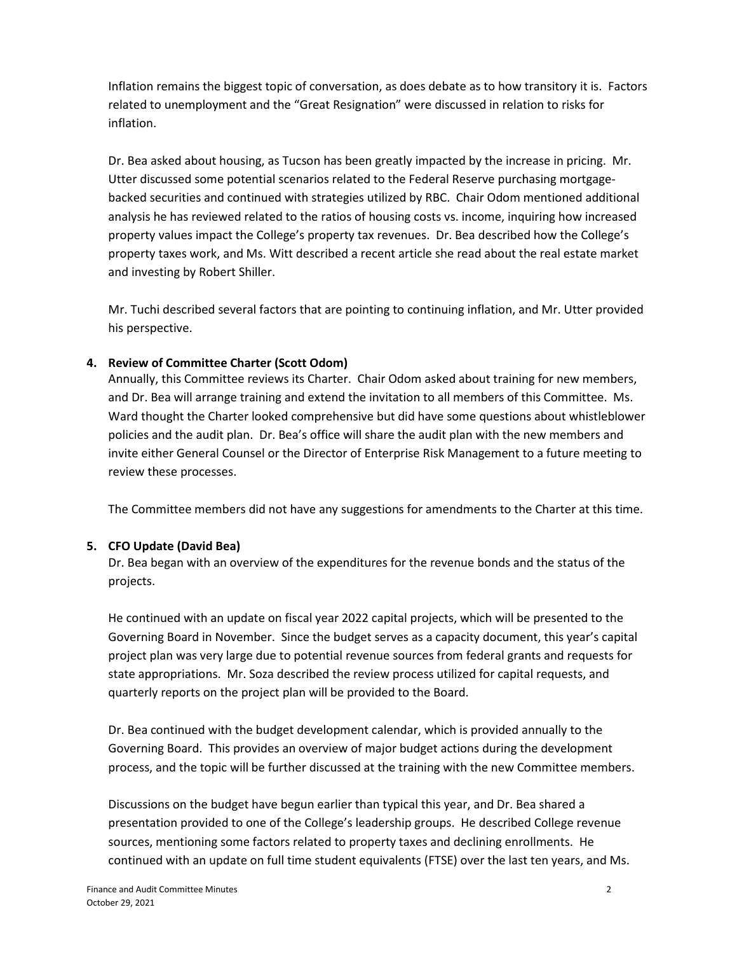Inflation remains the biggest topic of conversation, as does debate as to how transitory it is. Factors related to unemployment and the "Great Resignation" were discussed in relation to risks for inflation.

Dr. Bea asked about housing, as Tucson has been greatly impacted by the increase in pricing. Mr. Utter discussed some potential scenarios related to the Federal Reserve purchasing mortgagebacked securities and continued with strategies utilized by RBC. Chair Odom mentioned additional analysis he has reviewed related to the ratios of housing costs vs. income, inquiring how increased property values impact the College's property tax revenues. Dr. Bea described how the College's property taxes work, and Ms. Witt described a recent article she read about the real estate market and investing by Robert Shiller.

Mr. Tuchi described several factors that are pointing to continuing inflation, and Mr. Utter provided his perspective.

# **4. Review of Committee Charter (Scott Odom)**

Annually, this Committee reviews its Charter. Chair Odom asked about training for new members, and Dr. Bea will arrange training and extend the invitation to all members of this Committee. Ms. Ward thought the Charter looked comprehensive but did have some questions about whistleblower policies and the audit plan. Dr. Bea's office will share the audit plan with the new members and invite either General Counsel or the Director of Enterprise Risk Management to a future meeting to review these processes.

The Committee members did not have any suggestions for amendments to the Charter at this time.

# **5. CFO Update (David Bea)**

Dr. Bea began with an overview of the expenditures for the revenue bonds and the status of the projects.

He continued with an update on fiscal year 2022 capital projects, which will be presented to the Governing Board in November. Since the budget serves as a capacity document, this year's capital project plan was very large due to potential revenue sources from federal grants and requests for state appropriations. Mr. Soza described the review process utilized for capital requests, and quarterly reports on the project plan will be provided to the Board.

Dr. Bea continued with the budget development calendar, which is provided annually to the Governing Board. This provides an overview of major budget actions during the development process, and the topic will be further discussed at the training with the new Committee members.

Discussions on the budget have begun earlier than typical this year, and Dr. Bea shared a presentation provided to one of the College's leadership groups. He described College revenue sources, mentioning some factors related to property taxes and declining enrollments. He continued with an update on full time student equivalents (FTSE) over the last ten years, and Ms.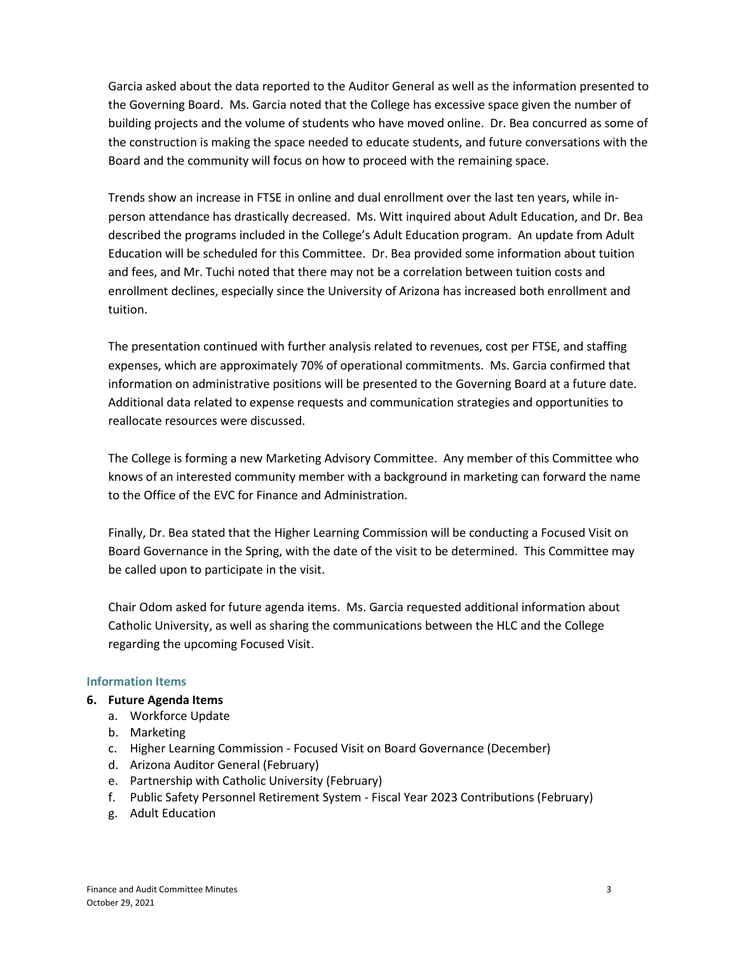Garcia asked about the data reported to the Auditor General as well as the information presented to the Governing Board. Ms. Garcia noted that the College has excessive space given the number of building projects and the volume of students who have moved online. Dr. Bea concurred as some of the construction is making the space needed to educate students, and future conversations with the Board and the community will focus on how to proceed with the remaining space.

Trends show an increase in FTSE in online and dual enrollment over the last ten years, while inperson attendance has drastically decreased. Ms. Witt inquired about Adult Education, and Dr. Bea described the programs included in the College's Adult Education program. An update from Adult Education will be scheduled for this Committee. Dr. Bea provided some information about tuition and fees, and Mr. Tuchi noted that there may not be a correlation between tuition costs and enrollment declines, especially since the University of Arizona has increased both enrollment and tuition.

The presentation continued with further analysis related to revenues, cost per FTSE, and staffing expenses, which are approximately 70% of operational commitments. Ms. Garcia confirmed that information on administrative positions will be presented to the Governing Board at a future date. Additional data related to expense requests and communication strategies and opportunities to reallocate resources were discussed.

The College is forming a new Marketing Advisory Committee. Any member of this Committee who knows of an interested community member with a background in marketing can forward the name to the Office of the EVC for Finance and Administration.

Finally, Dr. Bea stated that the Higher Learning Commission will be conducting a Focused Visit on Board Governance in the Spring, with the date of the visit to be determined. This Committee may be called upon to participate in the visit.

Chair Odom asked for future agenda items. Ms. Garcia requested additional information about Catholic University, as well as sharing the communications between the HLC and the College regarding the upcoming Focused Visit.

## **Information Items**

# **6. Future Agenda Items**

- a. Workforce Update
- b. Marketing
- c. Higher Learning Commission Focused Visit on Board Governance (December)
- d. Arizona Auditor General (February)
- e. Partnership with Catholic University (February)
- f. Public Safety Personnel Retirement System Fiscal Year 2023 Contributions (February)
- g. Adult Education